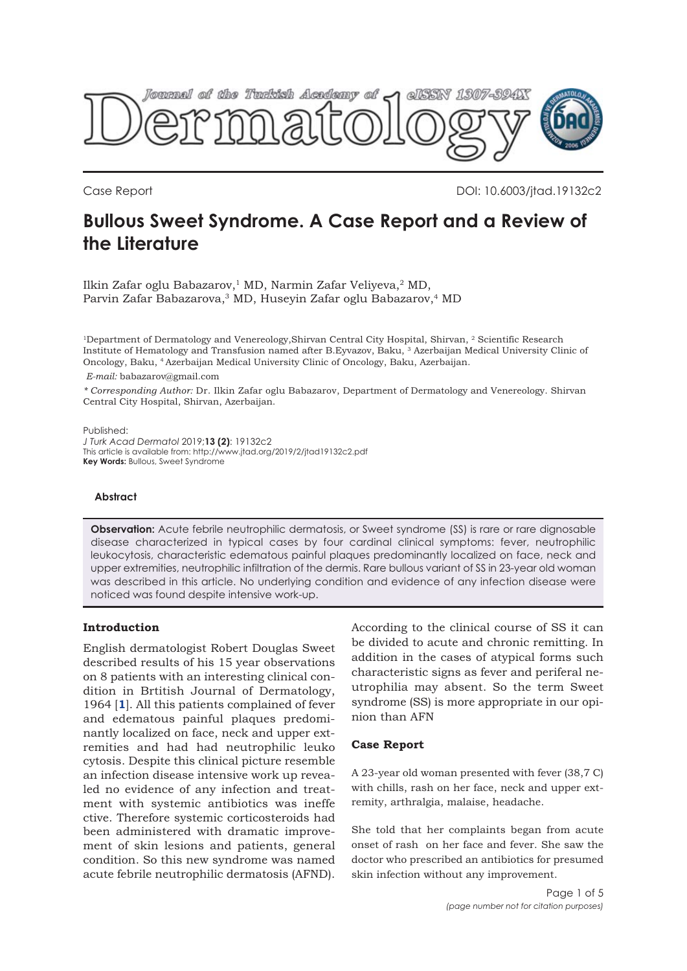

Case Report DOI: 10.6003/jtad.19132c2

# **Bullous Sweet Syndrome. A Case Report and a Review of the Literature**

Ilkin Zafar oglu Babazarov,<sup>1</sup> MD, Narmin Zafar Veliyeva,<sup>2</sup> MD, Parvin Zafar Babazarova,<sup>3</sup> MD, Huseyin Zafar oglu Babazarov,<sup>4</sup> MD

<sup>1</sup>Department of Dermatology and Venereology,Shirvan Central City Hospital, Shirvan, <sup>2</sup> Scientific Research Institute of Hematology and Transfusion named after B.Eyvazov, Baku, 3 Azerbaijan Medical University Clinic of Oncology, Baku, 4 Azerbaijan Medical University Clinic of Oncology, Baku, Azerbaijan.

*E-mail:* babazarov@gmail.com

*\* Corresponding Author:* Dr. Ilkin Zafar oglu Babazarov, Department of Dermatology and Venereology. Shirvan Central City Hospital, Shirvan, Azerbaijan.

Published: *J Turk Acad Dermatol* 2019;**13 (2)**: 19132c2 This article is available from: http://www.jtad.org/2019/2/jtad19132c2.pdf **Key Words:** Bullous, Sweet Syndrome

## **Abstract**

**Observation:** Acute febrile neutrophilic dermatosis, or Sweet syndrome (SS) is rare or rare dignosable disease characterized in typical cases by four cardinal clinical symptoms: fever, neutrophilic leukocytosis, characteristic edematous painful plaques predominantly localized on face, neck and upper extremities, neutrophilic infiltration of the dermis. Rare bullous variant of SS in 23-year old woman was described in this article. No underlying condition and evidence of any infection disease were noticed was found despite intensive work-up.

### **Introduction**

English dermatologist Robert Douglas Sweet described results of his 15 year observations on 8 patients with an interesting clinical condition in Brtitish Journal of Dermatology, 1964 [**[1](#page-3-0)**]. All this patients complained of fever and edematous painful plaques predominantly localized on face, neck and upper extremities and had had neutrophilic leuko cytosis. Despite this clinical picture resemble an infection disease intensive work up revealed no evidence of any infection and treatment with systemic antibiotics was ineffe ctive. Therefore systemic corticosteroids had been administered with dramatic improvement of skin lesions and patients, general condition. So this new syndrome was named acute febrile neutrophilic dermatosis (AFND).

According to the clinical course of SS it can be divided to acute and chronic remitting. In addition in the cases of atypical forms such characteristic signs as fever and periferal neutrophilia may absent. So the term Sweet syndrome (SS) is more appropriate in our opinion than AFN

#### **Case Report**

A 23-year old woman presented with fever (38,7 C) with chills, rash on her face, neck and upper extremity, arthralgia, malaise, headache.

She told that her complaints began from acute onset of rash on her face and fever. She saw the doctor who prescribed an antibiotics for presumed skin infection without any improvement.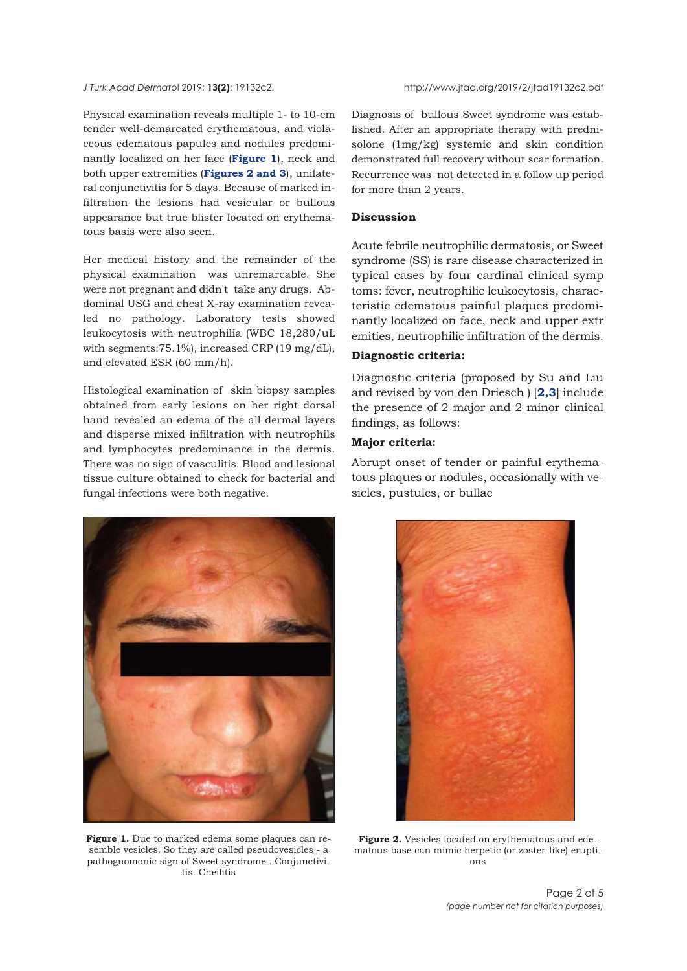Physical examination reveals multiple 1- to 10-cm tender well-demarcated erythematous, and violaceous edematous papules and nodules predominantly localized on her face (**Figure 1**), neck and both upper extremities (**Figures 2 [and 3](#page-2-0)**), unilateral conjunctivitis for 5 days. Because of marked infiltration the lesions had vesicular or bullous appearance but true blister located on erythematous basis were also seen.

Her medical history and the remainder of the physical examination was unremarcable. She were not pregnant and didn't take any drugs. Abdominal USG and chest X-ray examination revealed no pathology. Laboratory tests showed leukocytosis with neutrophilia (WBC 18,280/uL with segments:75.1%), increased CRP (19 mg/dL), and elevated ESR (60 mm/h).

Histological examination of skin biopsy samples obtained from early lesions on her right dorsal hand revealed an edema of the all dermal layers and disperse mixed infiltration with neutrophils and lymphocytes predominance in the dermis. There was no sign of vasculitis. Blood and lesional tissue culture obtained to check for bacterial and fungal infections were both negative.

Diagnosis of bullous Sweet syndrome was established. After an appropriate therapy with prednisolone (1mg/kg) systemic and skin condition demonstrated full recovery without scar formation. Recurrence was not detected in a follow up period for more than 2 years.

## **Discussion**

Acute febrile neutrophilic dermatosis, or Sweet syndrome (SS) is rare disease characterized in typical cases by four cardinal clinical symp toms: fever, neutrophilic leukocytosis, characteristic edematous painful plaques predominantly localized on face, neck and upper extr emities, neutrophilic infiltration of the dermis.

#### **Diagnostic criteria:**

Diagnostic criteria (proposed by Su and Liu and revised by von den Driesch ) [**[2,3](#page-3-0)**] include the presence of 2 major and 2 minor clinical findings, as follows:

## **Major criteria:**

Abrupt onset of tender or painful erythematous plaques or nodules, occasionally with vesicles, pustules, or bullae



**Figure 1.** Due to marked edema some plaques can resemble vesicles. So they are called pseudovesicles - a pathognomonic sign of Sweet syndrome . Conjunctivitis. Cheilitis



**Figure 2.** Vesicles located on erythematous and edematous base can mimic herpetic (or zoster-like) eruptions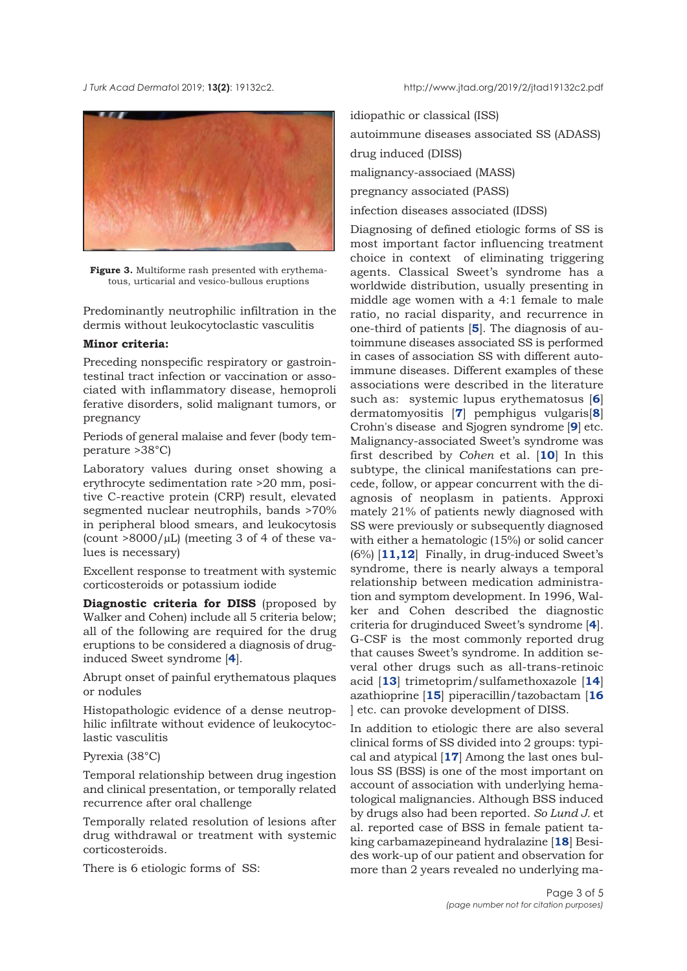<span id="page-2-0"></span>*J Turk Acad Dermato*l 2019; **13(2)**: 19132c2. http://www.jtad.org/2019/2/jtad19132c2.pdf



**Figure 3.** Multiforme rash presented with erythematous, urticarial and vesico-bullous eruptions

Predominantly neutrophilic infiltration in the dermis without leukocytoclastic vasculitis

## **Minor criteria:**

Preceding nonspecific respiratory or gastrointestinal tract infection or vaccination or associated with inflammatory disease, hemoproli ferative disorders, solid malignant tumors, or pregnancy

Periods of general malaise and fever (body temperature >38°C)

Laboratory values during onset showing a erythrocyte sedimentation rate >20 mm, positive C-reactive protein (CRP) result, elevated segmented nuclear neutrophils, bands >70% in peripheral blood smears, and leukocytosis (count  $>8000/\mu L$ ) (meeting 3 of 4 of these values is necessary)

Excellent response to treatment with systemic corticosteroids or potassium iodide

**Diagnostic criteria for DISS** (proposed by Walker and Cohen) include all 5 criteria below; all of the following are required for the drug eruptions to be considered a diagnosis of druginduced Sweet syndrome [**[4](#page-3-0)**].

Abrupt onset of painful erythematous plaques or nodules

Histopathologic evidence of a dense neutrophilic infiltrate without evidence of leukocytoclastic vasculitis

## Pyrexia (38°C)

Temporal relationship between drug ingestion and clinical presentation, or temporally related recurrence after oral challenge

Temporally related resolution of lesions after drug withdrawal or treatment with systemic corticosteroids.

There is 6 etiologic forms of SS:

idiopathic or classical (ISS) autoimmune diseases associated SS (ADASS) drug induced (DISS) malignancy-associaed (MASS) pregnancy associated (PASS) infection diseases associated (IDSS)

Diagnosing of defined etiologic forms of SS is most important factor influencing treatment choice in context of eliminating triggering agents. Classical Sweet's syndrome has a worldwide distribution, usually presenting in middle age women with a 4:1 female to male ratio, no racial disparity, and recurrence in one-third of patients [**[5](#page-3-0)**]. The diagnosis of autoimmune diseases associated SS is performed in cases of association SS with different autoimmune diseases. Different examples of these associations were described in the literature such as: systemic lupus erythematosus [**[6](#page-3-0)**] dermatomyositis [**[7](#page-3-0)**] pemphigus vulgaris[**[8](#page-3-0)**] Crohn's disease and Sjogren syndrome [**[9](#page-3-0)**] etc. Malignancy-associated Sweet's syndrome was first described by *Cohen* et al. [**[10](#page-3-0)**] In this subtype, the clinical manifestations can precede, follow, or appear concurrent with the diagnosis of neoplasm in patients. Approxi mately 21% of patients newly diagnosed with SS were previously or subsequently diagnosed with either a hematologic (15%) or solid cancer (6%) [**[11,12](#page-3-0)**] Finally, in drug-induced Sweet's syndrome, there is nearly always a temporal relationship between medication administration and symptom development. In 1996, Walker and Cohen described the diagnostic criteria for druginduced Sweet's syndrome [**[4](#page-3-0)**]. G-CSF is the most commonly reported drug that causes Sweet's syndrome. In addition several other drugs such as all-trans-retinoic acid [**[13](#page-3-0)**] trimetoprim/sulfamethoxazole [**[14](#page-3-0)**] azathioprine [**[15](#page-3-0)**] piperacillin/tazobactam [**[16](#page-3-0)** ] etc. can provoke development of DISS.

In addition to etiologic there are also several clinical forms of SS divided into 2 groups: typical and atypical [**[17](#page-3-0)**] Among the last ones bullous SS (BSS) is one of the most important on account of association with underlying hematological malignancies. Although BSS induced by drugs also had been reported. *So Lund J.* et al. reported case of BSS in female patient taking carbamazepineand hydralazine [**[18](#page-3-0)**] Besides work-up of our patient and observation for more than 2 years revealed no underlying ma-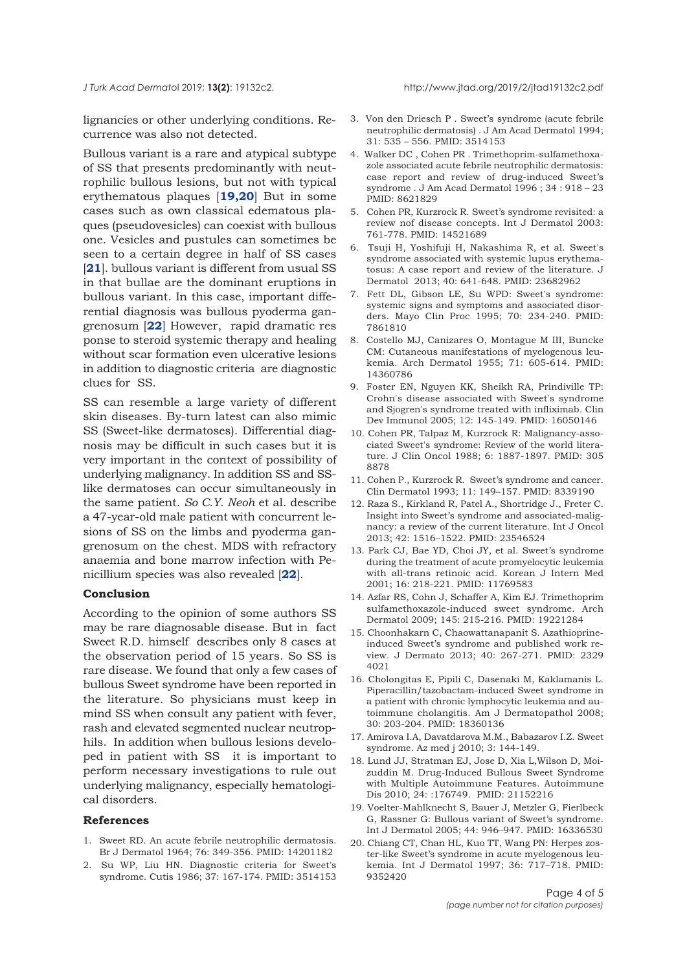<span id="page-3-0"></span>

lignancies or other underlying conditions. Recurrence was also not detected.

Bullous variant is a rare and atypical subtype of SS that presents predominantly with neutrophilic bullous lesions, but not with typical erythematous plaques [**19,20**] But in some cases such as own classical edematous plaques (pseudovesicles) can coexist with bullous one. Vesicles and pustules can sometimes be seen to a certain degree in half of SS cases [**[21](#page-4-0)**]. bullous variant is different from usual SS in that bullae are the dominant eruptions in bullous variant. In this case, important differential diagnosis was bullous pyoderma gangrenosum [**[22](#page-4-0)**] However, rapid dramatic res ponse to steroid systemic therapy and healing without scar formation even ulcerative lesions in addition to diagnostic criteria are diagnostic clues for SS.

SS can resemble a large variety of different skin diseases. By-turn latest can also mimic SS (Sweet-like dermatoses). Differential diagnosis may be difficult in such cases but it is very important in the context of possibility of underlying malignancy. In addition SS and SSlike dermatoses can occur simultaneously in the same patient. *So C.Y. Neoh* et al. describe a 47-year-old male patient with concurrent lesions of SS on the limbs and pyoderma gangrenosum on the chest. MDS with refractory anaemia and bone marrow infection with Penicillium species was also revealed [**[22](#page-4-0)**].

#### **Conclusion**

According to the opinion of some authors SS may be rare diagnosable disease. But in fact Sweet R.D. himself describes only 8 cases at the observation period of 15 years. So SS is rare disease. We found that only a few cases of bullous Sweet syndrome have been reported in the literature. So physicians must keep in mind SS when consult any patient with fever, rash and elevated segmented nuclear neutrophils. In addition when bullous lesions developed in patient with SS it is important to perform necessary investigations to rule out underlying malignancy, especially hematological disorders.

#### **References**

- 1. Sweet RD. An acute febrile neutrophilic dermatosis. Br J Dermatol 1964; 76: 349-356. PMID: 14201182
- 2. Su WP, Liu HN. Diagnostic criteria for Sweet's syndrome. Cutis 1986; 37: 167-174. PMID: 3514153
- 3. Von den Driesch P . Sweet's syndrome (acute febrile neutrophilic dermatosis) . J Am Acad Dermatol 1994; 31: 535 – 556. PMID: 3514153
- 4. Walker DC , Cohen PR . Trimethoprim-sulfamethoxazole associated acute febrile neutrophilic dermatosis: case report and review of drug-induced Sweet's syndrome . J Am Acad Dermatol 1996 ; 34 : 918 – 23 PMID: 8621829
- 5. Cohen PR, Kurzrock R. Sweet's syndrome revisited: a review nof disease concepts. Int J Dermatol 2003: 761-778. PMID: 14521689
- 6. Tsuji H, Yoshifuji H, Nakashima R, et al. Sweet's syndrome associated with systemic lupus erythematosus: A case report and review of the literature. J Dermatol 2013; 40: 641-648. PMID: 23682962
- 7. Fett DL, Gibson LE, Su WPD: Sweet's syndrome: systemic signs and symptoms and associated disorders. Mayo Clin Proc 1995; 70: 234-240. PMID: 7861810
- 8. Costello MJ, Canizares O, Montague M III, Buncke CM: Cutaneous manifestations of myelogenous leukemia. Arch Dermatol 1955; 71: 605-614. PMID: 14360786
- 9. Foster EN, Nguyen KK, Sheikh RA, Prindiville TP: Crohn's disease associated with Sweet's syndrome and Sjogren's syndrome treated with infliximab. Clin Dev Immunol 2005; 12: 145-149. PMID: 16050146
- 10. Cohen PR, Talpaz M, Kurzrock R: Malignancy-associated Sweet's syndrome: Review of the world literature. J Clin Oncol 1988; 6: 1887-1897. PMID: 305 8878
- 11. Cohen P., Kurzrock R. Sweet's syndrome and cancer. Clin Dermatol 1993; 11: 149–157. PMID: 8339190
- 12. Raza S., Kirkland R, Patel A., Shortridge J., Freter C. Insight into Sweet's syndrome and associated-malignancy: a review of the current literature. Int J Oncol 2013; 42: 1516–1522. PMID: 23546524
- 13. Park CJ, Bae YD, Choi JY, et al. Sweet's syndrome during the treatment of acute promyelocytic leukemia with all-trans retinoic acid. Korean J Intern Med 2001; 16: 218-221. PMID: 11769583
- 14. Azfar RS, Cohn J, Schaffer A, Kim EJ. Trimethoprim sulfamethoxazole-induced sweet syndrome. Arch Dermatol 2009; 145: 215-216. PMID: 19221284
- 15. Choonhakarn C, Chaowattanapanit S. Azathioprineinduced Sweet's syndrome and published work review. J Dermato 2013; 40: 267-271. PMID: 2329 4021
- 16. Cholongitas E, Pipili C, Dasenaki M, Kaklamanis L. Piperacillin/tazobactam-induced Sweet syndrome in a patient with chronic lymphocytic leukemia and autoimmune cholangitis. Am J Dermatopathol 2008; 30: 203-204. PMID: 18360136
- 17. Amirova I.A, Davatdarova M.M., Babazarov I.Z. Sweet syndrome. Az med j 2010; 3: 144-149.
- 18. Lund JJ, Stratman EJ, Jose D, Xia L,Wilson D, Moizuddin M. Drug-Induced Bullous Sweet Syndrome with Multiple Autoimmune Features. Autoimmune Dis 2010; 24: :176749. PMID: 21152216
- 19. Voelter-Mahlknecht S, Bauer J, Metzler G, Fierlbeck G, Rassner G: Bullous variant of Sweet's syndrome. Int J Dermatol 2005; 44: 946–947. PMID: 16336530
- 20. Chiang CT, Chan HL, Kuo TT, Wang PN: Herpes zoster-like Sweet's syndrome in acute myelogenous leukemia. Int J Dermatol 1997; 36: 717–718. PMID: 9352420